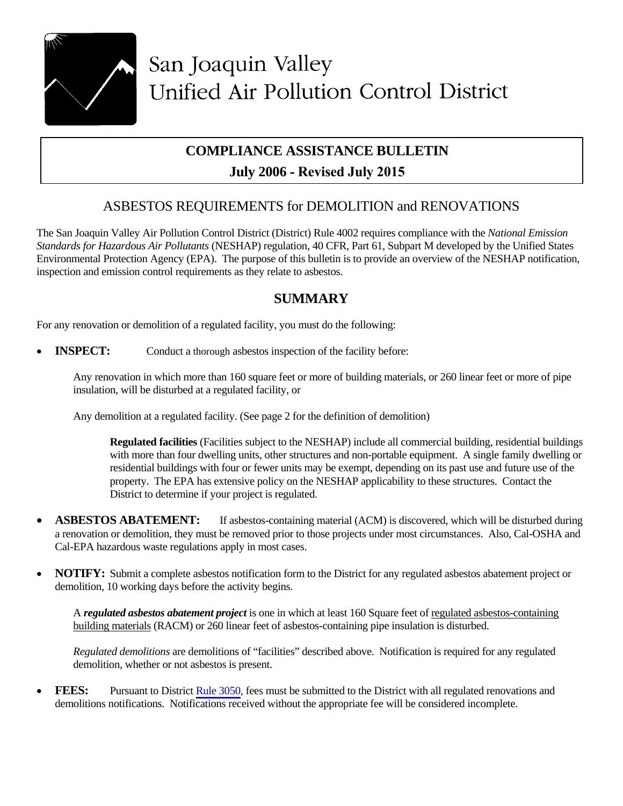

# **COMPLIANCE ASSISTANCE BULLETIN July 2006 - Revised July 2015**

# ASBESTOS REQUIREMENTS for DEMOLITION and RENOVATIONS

The San Joaquin Valley Air Pollution Control District (District) Rule 4002 requires compliance with the *National Emission Standards for Hazardous Air Pollutants* (NESHAP) regulation, 40 CFR, Part 61, Subpart M developed by the Unified States Environmental Protection Agency (EPA). The purpose of this bulletin is to provide an overview of the NESHAP notification, inspection and emission control requirements as they relate to asbestos.

# **SUMMARY**

For any renovation or demolition of a regulated facility, you must do the following:

**INSPECT:** Conduct a thorough asbestos inspection of the facility before:

Any renovation in which more than 160 square feet or more of building materials, or 260 linear feet or more of pipe insulation, will be disturbed at a regulated facility, or

Any demolition at a regulated facility. (See page 2 for the definition of demolition)

**Regulated facilities** (Facilities subject to the NESHAP) include all commercial building, residential buildings with more than four dwelling units, other structures and non-portable equipment. A single family dwelling or residential buildings with four or fewer units may be exempt, depending on its past use and future use of the property. The EPA has extensive policy on the NESHAP applicability to these structures. Contact the District to determine if your project is regulated.

- **ASBESTOS ABATEMENT:** If asbestos-containing material (ACM) is discovered, which will be disturbed during a renovation or demolition, they must be removed prior to those projects under most circumstances. Also, Cal-OSHA and Cal-EPA hazardous waste regulations apply in most cases.
- **NOTIFY:** Submit a complete asbestos notification form to the District for any regulated asbestos abatement project or demolition, 10 working days before the activity begins.

A *regulated asbestos abatement project* is one in which at least 160 Square feet of regulated asbestos-containing building materials (RACM) or 260 linear feet of asbestos-containing pipe insulation is disturbed.

*Regulated demolitions* are demolitions of "facilities" described above. Notification is required for any regulated demolition, whether or not asbestos is present.

**FEES:** Pursuant to District [Rule 3050,](http://www.valleyair.org/rules/currntrules/R3050.pdf) fees must be submitted to the District with all regulated renovations and demolitions notifications. Notifications received without the appropriate fee will be considered incomplete.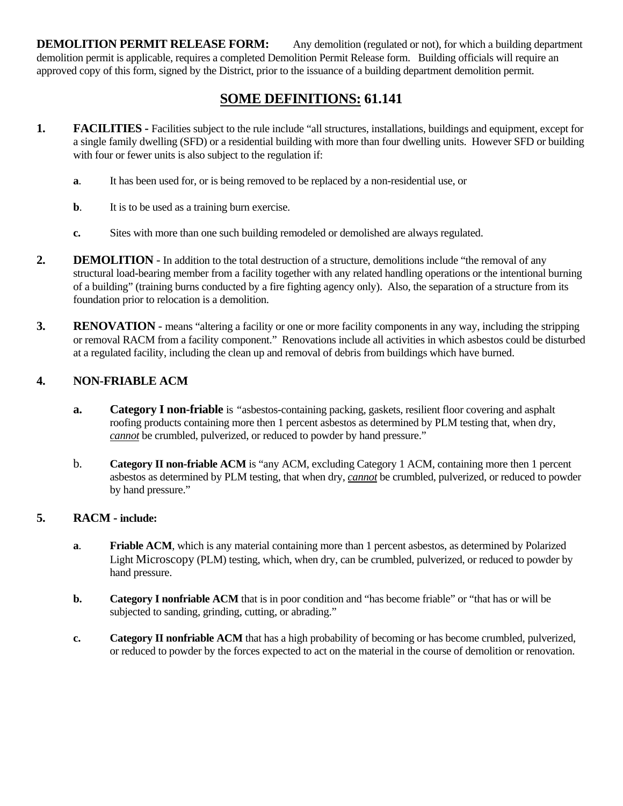**DEMOLITION PERMIT RELEASE FORM:** Any demolition (regulated or not), for which a building department demolition permit is applicable, requires a completed Demolition Permit Release form. Building officials will require an approved copy of this form, signed by the District, prior to the issuance of a building department demolition permit.

# **SOME DEFINITIONS: 61.141**

- **1. FACILITIES -** Facilities subject to the rule include "all structures, installations, buildings and equipment, except for a single family dwelling (SFD) or a residential building with more than four dwelling units. However SFD or building with four or fewer units is also subject to the regulation if:
	- **a**. It has been used for, or is being removed to be replaced by a non-residential use, or
	- **b**. It is to be used as a training burn exercise.
	- **c.** Sites with more than one such building remodeled or demolished are always regulated.
- **2. DEMOLITION** In addition to the total destruction of a structure, demolitions include "the removal of any structural load-bearing member from a facility together with any related handling operations or the intentional burning of a building" (training burns conducted by a fire fighting agency only). Also, the separation of a structure from its foundation prior to relocation is a demolition.
- **3.** RENOVATION means "altering a facility or one or more facility components in any way, including the stripping or removal RACM from a facility component." Renovations include all activities in which asbestos could be disturbed at a regulated facility, including the clean up and removal of debris from buildings which have burned.

### **4. NON-FRIABLE ACM**

- **a.** Category I non-friable is "asbestos-containing packing, gaskets, resilient floor covering and asphalt roofing products containing more then 1 percent asbestos as determined by PLM testing that, when dry, *cannot* be crumbled, pulverized, or reduced to powder by hand pressure."
- b. **Category II non-friable ACM** is "any ACM, excluding Category 1 ACM, containing more then 1 percent asbestos as determined by PLM testing, that when dry, *cannot* be crumbled, pulverized, or reduced to powder by hand pressure."

#### **5. RACM - include:**

- **a**. **Friable ACM**, which is any material containing more than 1 percent asbestos, as determined by Polarized Light Microscopy (PLM) testing, which, when dry, can be crumbled, pulverized, or reduced to powder by hand pressure.
- **b. Category I nonfriable ACM** that is in poor condition and "has become friable" or "that has or will be subjected to sanding, grinding, cutting, or abrading."
- **c. Category II nonfriable ACM** that has a high probability of becoming or has become crumbled, pulverized, or reduced to powder by the forces expected to act on the material in the course of demolition or renovation.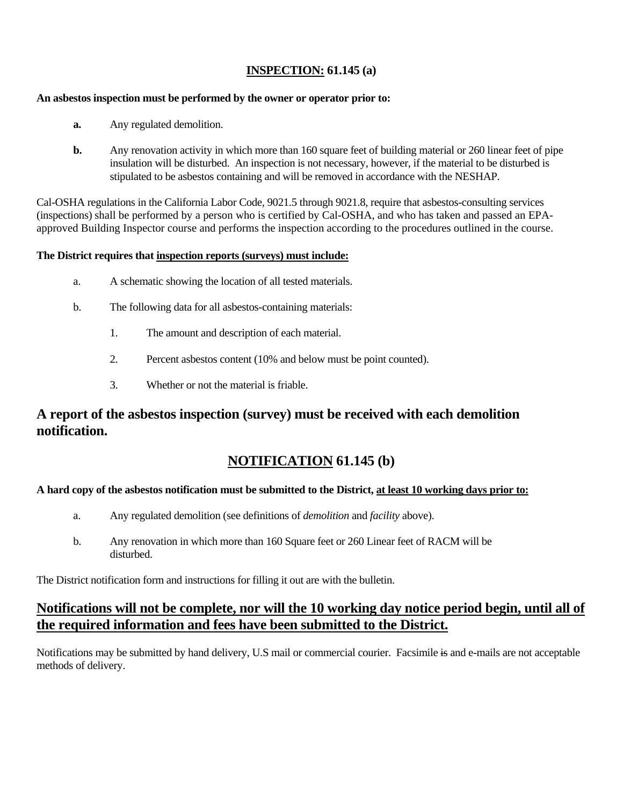### **INSPECTION: 61.145 (a)**

#### **An asbestos inspection must be performed by the owner or operator prior to:**

- **a.** Any regulated demolition.
- **b.** Any renovation activity in which more than 160 square feet of building material or 260 linear feet of pipe insulation will be disturbed. An inspection is not necessary, however, if the material to be disturbed is stipulated to be asbestos containing and will be removed in accordance with the NESHAP.

Cal-OSHA regulations in the California Labor Code, 9021.5 through 9021.8, require that asbestos-consulting services (inspections) shall be performed by a person who is certified by Cal-OSHA, and who has taken and passed an EPAapproved Building Inspector course and performs the inspection according to the procedures outlined in the course.

#### **The District requires that inspection reports (surveys) must include:**

- a. A schematic showing the location of all tested materials.
- b. The following data for all asbestos-containing materials:
	- 1. The amount and description of each material.
	- 2. Percent asbestos content (10% and below must be point counted).
	- 3. Whether or not the material is friable.

### **A report of the asbestos inspection (survey) must be received with each demolition notification.**

# **NOTIFICATION 61.145 (b)**

#### **A hard copy of the asbestos notification must be submitted to the District, at least 10 working days prior to:**

- a. Any regulated demolition (see definitions of *demolition* and *facility* above).
- b. Any renovation in which more than 160 Square feet or 260 Linear feet of RACM will be disturbed.

The District notification form and instructions for filling it out are with the bulletin.

### **Notifications will not be complete, nor will the 10 working day notice period begin, until all of the required information and fees have been submitted to the District.**

Notifications may be submitted by hand delivery, U.S mail or commercial courier. Facsimile is and e-mails are not acceptable methods of delivery.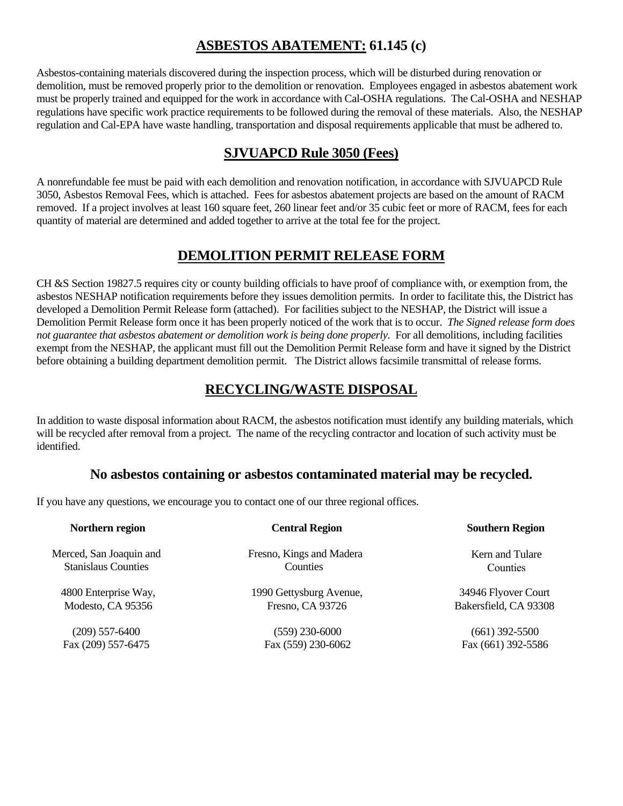### **ASBESTOS ABATEMENT: 61.145 (c)**

Asbestos-containing materials discovered during the inspection process, which will be disturbed during renovation or demolition, must be removed properly prior to the demolition or renovation. Employees engaged in asbestos abatement work must be properly trained and equipped for the work in accordance with Cal-OSHA regulations. The Cal-OSHA and NESHAP regulations have specific work practice requirements to be followed during the removal of these materials. Also, the NESHAP regulation and Cal-EPA have waste handling, transportation and disposal requirements applicable that must be adhered to.

### **SJVUAPCD Rule 3050 (Fees)**

A nonrefundable fee must be paid with each demolition and renovation notification, in accordance with SJVUAPCD Rule 3050, Asbestos Removal Fees, which is attached. Fees for asbestos abatement projects are based on the amount of RACM removed. If a project involves at least 160 square feet, 260 linear feet and/or 35 cubic feet or more of RACM, fees for each quantity of material are determined and added together to arrive at the total fee for the project.

### **DEMOLITION PERMIT RELEASE FORM**

CH &S Section 19827.5 requires city or county building officials to have proof of compliance with, or exemption from, the asbestos NESHAP notification requirements before they issues demolition permits. In order to facilitate this, the District has developed a Demolition Permit Release form (attached). For facilities subject to the NESHAP, the District will issue a Demolition Permit Release form once it has been properly noticed of the work that is to occur. *The Signed release form does not guarantee that asbestos abatement or demolition work is being done properly.* For all demolitions, including facilities exempt from the NESHAP, the applicant must fill out the Demolition Permit Release form and have it signed by the District before obtaining a building department demolition permit. The District allows facsimile transmittal of release forms.

# **RECYCLING/WASTE DISPOSAL**

In addition to waste disposal information about RACM, the asbestos notification must identify any building materials, which will be recycled after removal from a project. The name of the recycling contractor and location of such activity must be identified.

### **No asbestos containing or asbestos contaminated material may be recycled.**

If you have any questions, we encourage you to contact one of our three regional offices.

| Northern region                                       | <b>Central Region</b>                       | <b>Southern Region</b>      |
|-------------------------------------------------------|---------------------------------------------|-----------------------------|
| Merced, San Joaquin and<br><b>Stanislaus Counties</b> | Fresno, Kings and Madera<br><b>Counties</b> | Kern and Tulare<br>Counties |
| 4800 Enterprise Way,                                  | 1990 Gettysburg Avenue,                     | 34946 Flyover Court         |
| Modesto, CA 95356                                     | Fresno, CA 93726                            | Bakersfield, CA 93308       |
| $(209)$ 557-6400                                      | $(559)$ 230-6000                            | $(661)$ 392-5500            |
| Fax (209) 557-6475                                    | Fax (559) 230-6062                          | Fax (661) 392-5586          |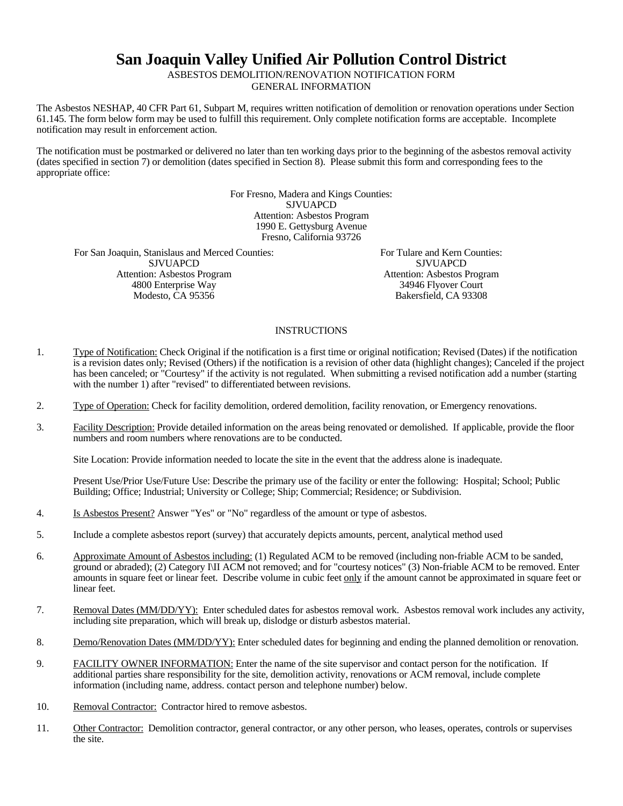# **San Joaquin Valley Unified Air Pollution Control District**

ASBESTOS DEMOLITION/RENOVATION NOTIFICATION FORM GENERAL INFORMATION

The Asbestos NESHAP, 40 CFR Part 61, Subpart M, requires written notification of demolition or renovation operations under Section 61.145. The form below form may be used to fulfill this requirement. Only complete notification forms are acceptable. Incomplete notification may result in enforcement action.

The notification must be postmarked or delivered no later than ten working days prior to the beginning of the asbestos removal activity (dates specified in section 7) or demolition (dates specified in Section 8). Please submit this form and corresponding fees to the appropriate office:

> For Fresno, Madera and Kings Counties: SJVUAPCD Attention: Asbestos Program 1990 E. Gettysburg Avenue Fresno, California 93726

For San Joaquin, Stanislaus and Merced Counties: **SJVUAPCD** Attention: Asbestos Program 4800 Enterprise Way Modesto, CA 95356

For Tulare and Kern Counties: SJVUAPCD Attention: Asbestos Program 34946 Flyover Court Bakersfield, CA 93308

#### **INSTRUCTIONS**

- 1. Type of Notification: Check Original if the notification is a first time or original notification; Revised (Dates) if the notification is a revision dates only; Revised (Others) if the notification is a revision of other data (highlight changes); Canceled if the project has been canceled; or "Courtesy" if the activity is not regulated. When submitting a revised notification add a number (starting with the number 1) after "revised" to differentiated between revisions.
- 2. Type of Operation: Check for facility demolition, ordered demolition, facility renovation, or Emergency renovations.
- 3. Facility Description: Provide detailed information on the areas being renovated or demolished. If applicable, provide the floor numbers and room numbers where renovations are to be conducted.

Site Location: Provide information needed to locate the site in the event that the address alone is inadequate.

Present Use/Prior Use/Future Use: Describe the primary use of the facility or enter the following: Hospital; School; Public Building; Office; Industrial; University or College; Ship; Commercial; Residence; or Subdivision.

- 4. Is Asbestos Present? Answer "Yes" or "No" regardless of the amount or type of asbestos.
- 5. Include a complete asbestos report (survey) that accurately depicts amounts, percent, analytical method used
- 6. Approximate Amount of Asbestos including: (1) Regulated ACM to be removed (including non-friable ACM to be sanded, ground or abraded); (2) Category I\II ACM not removed; and for "courtesy notices" (3) Non-friable ACM to be removed. Enter amounts in square feet or linear feet. Describe volume in cubic feet only if the amount cannot be approximated in square feet or linear feet.
- 7. Removal Dates (MM/DD/YY): Enter scheduled dates for asbestos removal work. Asbestos removal work includes any activity, including site preparation, which will break up, dislodge or disturb asbestos material.
- 8. Demo/Renovation Dates (MM/DD/YY): Enter scheduled dates for beginning and ending the planned demolition or renovation.
- 9. FACILITY OWNER INFORMATION: Enter the name of the site supervisor and contact person for the notification. If additional parties share responsibility for the site, demolition activity, renovations or ACM removal, include complete information (including name, address. contact person and telephone number) below.
- 10. Removal Contractor: Contractor hired to remove asbestos.
- 11. Other Contractor: Demolition contractor, general contractor, or any other person, who leases, operates, controls or supervises the site.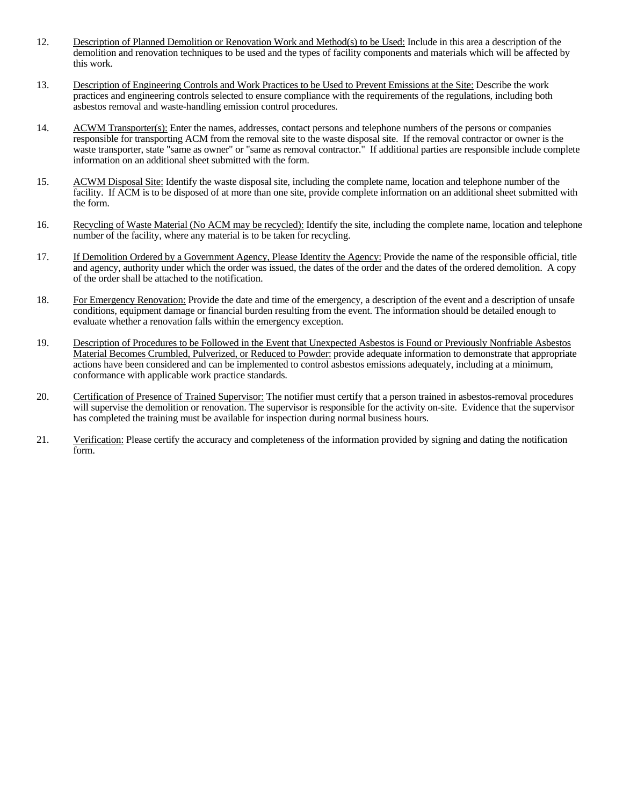- 12. Description of Planned Demolition or Renovation Work and Method(s) to be Used: Include in this area a description of the demolition and renovation techniques to be used and the types of facility components and materials which will be affected by this work.
- 13. Description of Engineering Controls and Work Practices to be Used to Prevent Emissions at the Site: Describe the work practices and engineering controls selected to ensure compliance with the requirements of the regulations, including both asbestos removal and waste-handling emission control procedures.
- 14. ACWM Transporter(s): Enter the names, addresses, contact persons and telephone numbers of the persons or companies responsible for transporting ACM from the removal site to the waste disposal site. If the removal contractor or owner is the waste transporter, state "same as owner" or "same as removal contractor." If additional parties are responsible include complete information on an additional sheet submitted with the form.
- 15. ACWM Disposal Site: Identify the waste disposal site, including the complete name, location and telephone number of the facility. If ACM is to be disposed of at more than one site, provide complete information on an additional sheet submitted with the form.
- 16. Recycling of Waste Material (No ACM may be recycled): Identify the site, including the complete name, location and telephone number of the facility, where any material is to be taken for recycling.
- 17. If Demolition Ordered by a Government Agency, Please Identity the Agency: Provide the name of the responsible official, title and agency, authority under which the order was issued, the dates of the order and the dates of the ordered demolition. A copy of the order shall be attached to the notification.
- 18. For Emergency Renovation: Provide the date and time of the emergency, a description of the event and a description of unsafe conditions, equipment damage or financial burden resulting from the event. The information should be detailed enough to evaluate whether a renovation falls within the emergency exception.
- 19. Description of Procedures to be Followed in the Event that Unexpected Asbestos is Found or Previously Nonfriable Asbestos Material Becomes Crumbled, Pulverized, or Reduced to Powder: provide adequate information to demonstrate that appropriate actions have been considered and can be implemented to control asbestos emissions adequately, including at a minimum, conformance with applicable work practice standards.
- 20. Certification of Presence of Trained Supervisor: The notifier must certify that a person trained in asbestos-removal procedures will supervise the demolition or renovation. The supervisor is responsible for the activity on-site. Evidence that the supervisor has completed the training must be available for inspection during normal business hours.
- 21. Verification: Please certify the accuracy and completeness of the information provided by signing and dating the notification form.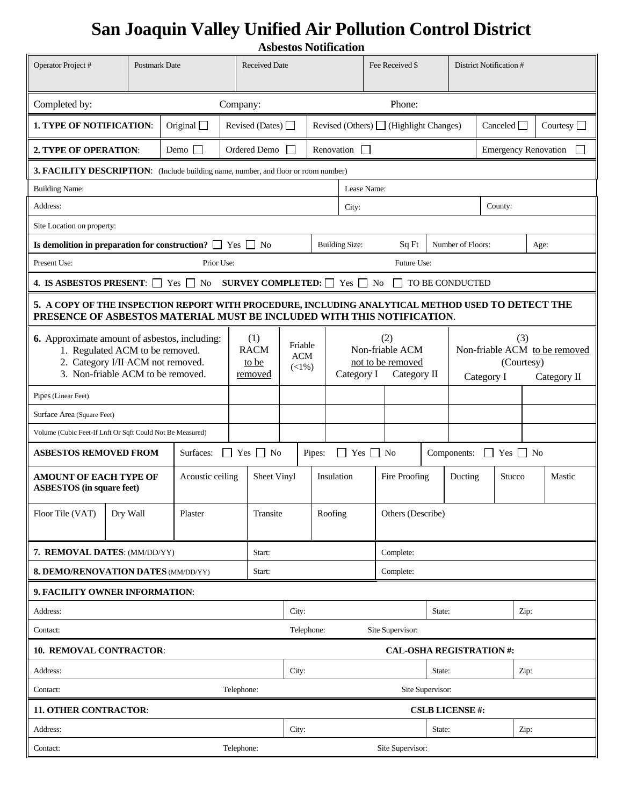# **San Joaquin Valley Unified Air Pollution Control District Asbestos Notification**

|                                                                                                                                                                                                                                                                                                     |          |                                        |                        |                                                                                    |                      |                                             |                                                                          | ASDESIOS INDUINZATION |              |                                                                  |                             |                         |                             |           |  |  |  |
|-----------------------------------------------------------------------------------------------------------------------------------------------------------------------------------------------------------------------------------------------------------------------------------------------------|----------|----------------------------------------|------------------------|------------------------------------------------------------------------------------|----------------------|---------------------------------------------|--------------------------------------------------------------------------|-----------------------|--------------|------------------------------------------------------------------|-----------------------------|-------------------------|-----------------------------|-----------|--|--|--|
| Operator Project #                                                                                                                                                                                                                                                                                  |          | <b>Postmark Date</b>                   |                        |                                                                                    | <b>Received Date</b> |                                             |                                                                          | Fee Received \$       |              |                                                                  |                             | District Notification # |                             |           |  |  |  |
| Completed by:<br>Phone:<br>Company:                                                                                                                                                                                                                                                                 |          |                                        |                        |                                                                                    |                      |                                             |                                                                          |                       |              |                                                                  |                             |                         |                             |           |  |  |  |
| Original $\Box$<br><b>1. TYPE OF NOTIFICATION:</b>                                                                                                                                                                                                                                                  |          |                                        | Revised (Dates) $\Box$ |                                                                                    |                      | Revised (Others) $\Box$ (Highlight Changes) |                                                                          |                       |              |                                                                  | Courtesy $\Box$<br>Canceled |                         |                             |           |  |  |  |
| 2. TYPE OF OPERATION:                                                                                                                                                                                                                                                                               |          |                                        | Demo $\Box$            |                                                                                    | Ordered Demo         | $\mathbf{I}$                                |                                                                          | Renovation            | $\mathbf{I}$ |                                                                  |                             |                         | <b>Emergency Renovation</b> |           |  |  |  |
|                                                                                                                                                                                                                                                                                                     |          |                                        |                        | 3. FACILITY DESCRIPTION: (Include building name, number, and floor or room number) |                      |                                             |                                                                          |                       |              |                                                                  |                             |                         |                             |           |  |  |  |
| <b>Building Name:</b>                                                                                                                                                                                                                                                                               |          |                                        |                        |                                                                                    |                      |                                             |                                                                          | Lease Name:           |              |                                                                  |                             |                         |                             |           |  |  |  |
| Address:<br>City:                                                                                                                                                                                                                                                                                   |          |                                        |                        |                                                                                    |                      |                                             | County:                                                                  |                       |              |                                                                  |                             |                         |                             |           |  |  |  |
| Site Location on property:                                                                                                                                                                                                                                                                          |          |                                        |                        |                                                                                    |                      |                                             |                                                                          |                       |              |                                                                  |                             |                         |                             |           |  |  |  |
| Is demolition in preparation for construction? $\Box$ Yes $\Box$ No<br><b>Building Size:</b><br>Sq Ft<br>Number of Floors:<br>Age:<br>Present Use:<br>Prior Use:<br>Future Use:<br>4. IS ASBESTOS PRESENT: $\Box$ Yes $\Box$ No<br><b>SURVEY COMPLETED:</b> $\Box$ Yes $\Box$ No<br>TO BE CONDUCTED |          |                                        |                        |                                                                                    |                      |                                             |                                                                          |                       |              |                                                                  |                             |                         |                             |           |  |  |  |
|                                                                                                                                                                                                                                                                                                     |          |                                        |                        |                                                                                    |                      |                                             |                                                                          |                       |              |                                                                  |                             |                         |                             |           |  |  |  |
|                                                                                                                                                                                                                                                                                                     |          |                                        |                        |                                                                                    |                      |                                             |                                                                          |                       |              |                                                                  |                             |                         |                             |           |  |  |  |
| 5. A COPY OF THE INSPECTION REPORT WITH PROCEDURE, INCLUDING ANALYTICAL METHOD USED TO DETECT THE<br>PRESENCE OF ASBESTOS MATERIAL MUST BE INCLUDED WITH THIS NOTIFICATION.                                                                                                                         |          |                                        |                        |                                                                                    |                      |                                             |                                                                          |                       |              |                                                                  |                             |                         |                             |           |  |  |  |
| <b>6.</b> Approximate amount of asbestos, including:<br>1. Regulated ACM to be removed.<br>2. Category I/II ACM not removed.<br>3. Non-friable ACM to be removed.                                                                                                                                   |          | (1)<br><b>RACM</b><br>to be<br>removed |                        | Friable<br><b>ACM</b><br>$(1\%)$                                                   |                      |                                             | (2)<br>Non-friable ACM<br>not to be removed<br>Category I<br>Category II |                       |              | (3)<br>Non-friable ACM to be removed<br>(Courtesy)<br>Category I |                             |                         | Category II                 |           |  |  |  |
| Pipes (Linear Feet)                                                                                                                                                                                                                                                                                 |          |                                        |                        |                                                                                    |                      |                                             |                                                                          |                       |              |                                                                  |                             |                         |                             |           |  |  |  |
| Surface Area (Square Feet)                                                                                                                                                                                                                                                                          |          |                                        |                        |                                                                                    |                      |                                             |                                                                          |                       |              |                                                                  |                             |                         |                             |           |  |  |  |
| Volume (Cubic Feet-If Lnft Or Sqft Could Not Be Measured)                                                                                                                                                                                                                                           |          |                                        |                        |                                                                                    |                      |                                             |                                                                          |                       |              |                                                                  |                             |                         |                             |           |  |  |  |
| <b>ASBESTOS REMOVED FROM</b>                                                                                                                                                                                                                                                                        |          |                                        | Surfaces:              | $\Box$                                                                             | $Yes \Box No$        |                                             | Pipes:                                                                   | $\Box$                | $Yes \tN$    |                                                                  |                             | Components:             | $\perp$                     | $Yes \tN$ |  |  |  |
| <b>AMOUNT OF EACH TYPE OF</b><br><b>ASBESTOS</b> (in square feet)                                                                                                                                                                                                                                   |          |                                        | Acoustic ceiling       |                                                                                    | Sheet Vinyl          |                                             |                                                                          | Insulation            |              | Fire Proofing                                                    |                             | Ducting<br>Stucco       |                             | Mastic    |  |  |  |
| Floor Tile (VAT)                                                                                                                                                                                                                                                                                    | Dry Wall |                                        | Transite<br>Plaster    |                                                                                    |                      |                                             | Roofing<br>Others (Describe)                                             |                       |              |                                                                  |                             |                         |                             |           |  |  |  |
| 7. REMOVAL DATES: (MM/DD/YY)                                                                                                                                                                                                                                                                        |          |                                        |                        |                                                                                    | Start:               |                                             |                                                                          |                       |              | Complete:                                                        |                             |                         |                             |           |  |  |  |
| 8. DEMO/RENOVATION DATES (MM/DD/YY)<br>Start:                                                                                                                                                                                                                                                       |          |                                        |                        |                                                                                    | Complete:            |                                             |                                                                          |                       |              |                                                                  |                             |                         |                             |           |  |  |  |
| 9. FACILITY OWNER INFORMATION:                                                                                                                                                                                                                                                                      |          |                                        |                        |                                                                                    |                      |                                             |                                                                          |                       |              |                                                                  |                             |                         |                             |           |  |  |  |
| Address:                                                                                                                                                                                                                                                                                            |          |                                        |                        |                                                                                    |                      | City:                                       |                                                                          |                       |              |                                                                  | State:                      |                         |                             | Zip:      |  |  |  |
| Contact:                                                                                                                                                                                                                                                                                            |          |                                        |                        | Telephone:<br>Site Supervisor:                                                     |                      |                                             |                                                                          |                       |              |                                                                  |                             |                         |                             |           |  |  |  |
| 10. REMOVAL CONTRACTOR:                                                                                                                                                                                                                                                                             |          |                                        |                        |                                                                                    |                      |                                             |                                                                          |                       |              | <b>CAL-OSHA REGISTRATION#:</b>                                   |                             |                         |                             |           |  |  |  |
| Address:                                                                                                                                                                                                                                                                                            |          |                                        |                        |                                                                                    |                      | City:                                       |                                                                          |                       |              |                                                                  | State:                      |                         |                             | Zip:      |  |  |  |
| Contact:                                                                                                                                                                                                                                                                                            |          |                                        |                        | Telephone:                                                                         |                      |                                             | Site Supervisor:                                                         |                       |              |                                                                  |                             |                         |                             |           |  |  |  |
| <b>11. OTHER CONTRACTOR:</b>                                                                                                                                                                                                                                                                        |          |                                        |                        |                                                                                    |                      |                                             |                                                                          |                       |              |                                                                  |                             | <b>CSLB LICENSE#:</b>   |                             |           |  |  |  |
| Address:                                                                                                                                                                                                                                                                                            |          |                                        |                        |                                                                                    |                      | City:                                       |                                                                          |                       |              |                                                                  | State:                      |                         |                             | Zip:      |  |  |  |
| Contact:<br>Telephone:                                                                                                                                                                                                                                                                              |          |                                        |                        | Site Supervisor:                                                                   |                      |                                             |                                                                          |                       |              |                                                                  |                             |                         |                             |           |  |  |  |